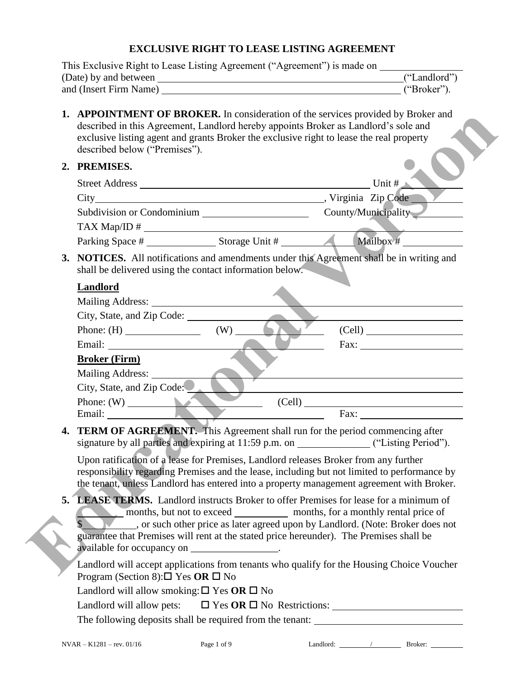# **EXCLUSIVE RIGHT TO LEASE LISTING AGREEMENT**

|  | This Exclusive Right to Lease Listing Agreement ("Agreement") is made on ______________                                                                                                                                                                                                               |                                                                                                                                                                                                                               |  |  |  |  |
|--|-------------------------------------------------------------------------------------------------------------------------------------------------------------------------------------------------------------------------------------------------------------------------------------------------------|-------------------------------------------------------------------------------------------------------------------------------------------------------------------------------------------------------------------------------|--|--|--|--|
|  |                                                                                                                                                                                                                                                                                                       | ("Landlord")                                                                                                                                                                                                                  |  |  |  |  |
|  |                                                                                                                                                                                                                                                                                                       | ("Broker").                                                                                                                                                                                                                   |  |  |  |  |
|  | 1. APPOINTMENT OF BROKER. In consideration of the services provided by Broker and<br>described in this Agreement, Landlord hereby appoints Broker as Landlord's sole and<br>exclusive listing agent and grants Broker the exclusive right to lease the real property<br>described below ("Premises"). |                                                                                                                                                                                                                               |  |  |  |  |
|  | 2. PREMISES.                                                                                                                                                                                                                                                                                          |                                                                                                                                                                                                                               |  |  |  |  |
|  |                                                                                                                                                                                                                                                                                                       | Unit #                                                                                                                                                                                                                        |  |  |  |  |
|  |                                                                                                                                                                                                                                                                                                       |                                                                                                                                                                                                                               |  |  |  |  |
|  |                                                                                                                                                                                                                                                                                                       |                                                                                                                                                                                                                               |  |  |  |  |
|  |                                                                                                                                                                                                                                                                                                       |                                                                                                                                                                                                                               |  |  |  |  |
|  |                                                                                                                                                                                                                                                                                                       |                                                                                                                                                                                                                               |  |  |  |  |
|  | 3. NOTICES. All notifications and amendments under this Agreement shall be in writing and<br>shall be delivered using the contact information below.                                                                                                                                                  |                                                                                                                                                                                                                               |  |  |  |  |
|  | <b>Landlord</b>                                                                                                                                                                                                                                                                                       |                                                                                                                                                                                                                               |  |  |  |  |
|  |                                                                                                                                                                                                                                                                                                       |                                                                                                                                                                                                                               |  |  |  |  |
|  |                                                                                                                                                                                                                                                                                                       |                                                                                                                                                                                                                               |  |  |  |  |
|  | Phone: $(H)$ (W)                                                                                                                                                                                                                                                                                      | (Cell)                                                                                                                                                                                                                        |  |  |  |  |
|  |                                                                                                                                                                                                                                                                                                       |                                                                                                                                                                                                                               |  |  |  |  |
|  | <b>Broker (Firm)</b>                                                                                                                                                                                                                                                                                  |                                                                                                                                                                                                                               |  |  |  |  |
|  | Mailing Address:                                                                                                                                                                                                                                                                                      | <u> 1980 - Johann Barn, amerikan besteman besteman besteman besteman besteman besteman besteman besteman besteman</u>                                                                                                         |  |  |  |  |
|  | City, State, and Zip Code:                                                                                                                                                                                                                                                                            | the control of the control of the control of the control of the control of the control of the control of the control of the control of the control of the control of the control of the control of the control of the control |  |  |  |  |
|  | Phone: $(W)$                                                                                                                                                                                                                                                                                          | (Cell) Fax:                                                                                                                                                                                                                   |  |  |  |  |
|  |                                                                                                                                                                                                                                                                                                       |                                                                                                                                                                                                                               |  |  |  |  |
|  | 4. TERM OF AGREEMENT. This Agreement shall run for the period commencing after                                                                                                                                                                                                                        |                                                                                                                                                                                                                               |  |  |  |  |
|  | Upon ratification of a lease for Premises, Landlord releases Broker from any further                                                                                                                                                                                                                  |                                                                                                                                                                                                                               |  |  |  |  |
|  | responsibility regarding Premises and the lease, including but not limited to performance by                                                                                                                                                                                                          |                                                                                                                                                                                                                               |  |  |  |  |
|  | the tenant, unless Landlord has entered into a property management agreement with Broker.                                                                                                                                                                                                             |                                                                                                                                                                                                                               |  |  |  |  |
|  | 5. LEASE TERMS. Landlord instructs Broker to offer Premises for lease for a minimum of                                                                                                                                                                                                                |                                                                                                                                                                                                                               |  |  |  |  |
|  |                                                                                                                                                                                                                                                                                                       |                                                                                                                                                                                                                               |  |  |  |  |
|  | ____, or such other price as later agreed upon by Landlord. (Note: Broker does not                                                                                                                                                                                                                    |                                                                                                                                                                                                                               |  |  |  |  |
|  | guarantee that Premises will rent at the stated price hereunder). The Premises shall be<br>available for occupancy on _________________.                                                                                                                                                              |                                                                                                                                                                                                                               |  |  |  |  |
|  |                                                                                                                                                                                                                                                                                                       |                                                                                                                                                                                                                               |  |  |  |  |
|  |                                                                                                                                                                                                                                                                                                       | Landlord will accept applications from tenants who qualify for the Housing Choice Voucher                                                                                                                                     |  |  |  |  |
|  |                                                                                                                                                                                                                                                                                                       |                                                                                                                                                                                                                               |  |  |  |  |
|  | Program (Section 8): $\square$ Yes OR $\square$ No                                                                                                                                                                                                                                                    |                                                                                                                                                                                                                               |  |  |  |  |
|  | Landlord will allow smoking: $\square$ Yes OR $\square$ No                                                                                                                                                                                                                                            |                                                                                                                                                                                                                               |  |  |  |  |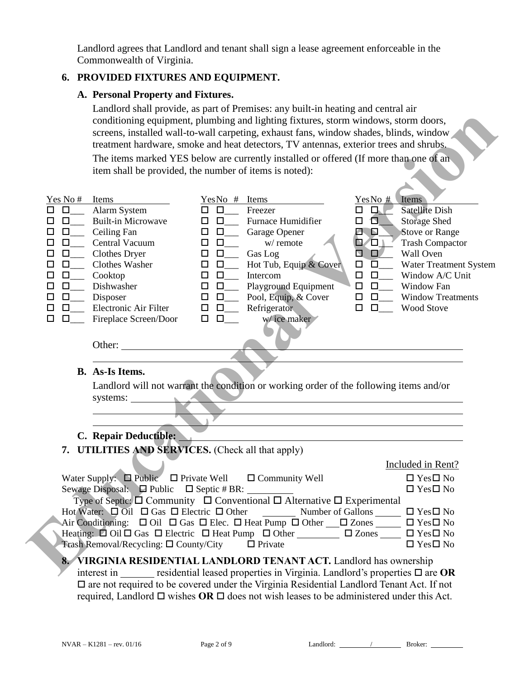Landlord agrees that Landlord and tenant shall sign a lease agreement enforceable in the Commonwealth of Virginia.

## **6. PROVIDED FIXTURES AND EQUIPMENT.**

#### **A. Personal Property and Fixtures.**

Landlord shall provide, as part of Premises: any built-in heating and central air conditioning equipment, plumbing and lighting fixtures, storm windows, storm doors, screens, installed wall-to-wall carpeting, exhaust fans, window shades, blinds, window treatment hardware, smoke and heat detectors, TV antennas, exterior trees and shrubs. The items marked YES below are currently installed or offered (If more than one of an

item shall be provided, the number of items is noted):



interest in residential leased properties in Virginia. Landlord's properties  $\Box$  are  $\overline{OR}$  $\Box$  are not required to be covered under the Virginia Residential Landlord Tenant Act. If not required, Landlord  $\Box$  wishes **OR**  $\Box$  does not wish leases to be administered under this Act.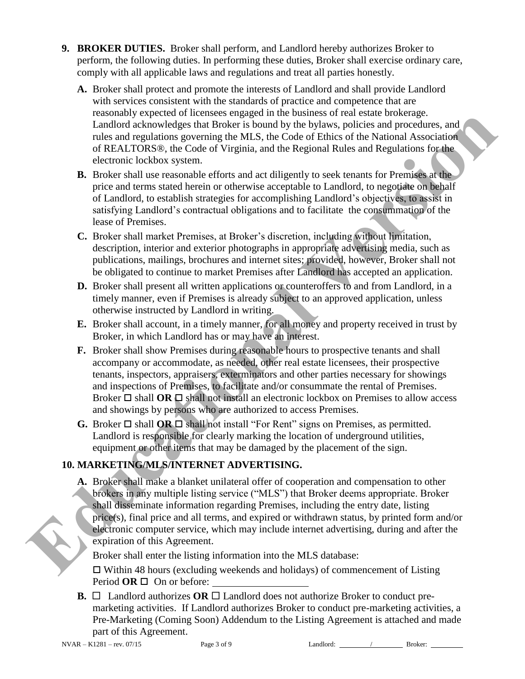- **9. BROKER DUTIES.** Broker shall perform, and Landlord hereby authorizes Broker to perform, the following duties. In performing these duties, Broker shall exercise ordinary care, comply with all applicable laws and regulations and treat all parties honestly.
	- **A.** Broker shall protect and promote the interests of Landlord and shall provide Landlord with services consistent with the standards of practice and competence that are reasonably expected of licensees engaged in the business of real estate brokerage. Landlord acknowledges that Broker is bound by the bylaws, policies and procedures, and rules and regulations governing the MLS, the Code of Ethics of the National Association of REALTORS®, the Code of Virginia, and the Regional Rules and Regulations for the electronic lockbox system.
	- **B.** Broker shall use reasonable efforts and act diligently to seek tenants for Premises at the price and terms stated herein or otherwise acceptable to Landlord, to negotiate on behalf of Landlord, to establish strategies for accomplishing Landlord's objectives, to assist in satisfying Landlord's contractual obligations and to facilitate the consummation of the lease of Premises.
	- **C.** Broker shall market Premises, at Broker's discretion, including without limitation, description, interior and exterior photographs in appropriate advertising media, such as publications, mailings, brochures and internet sites; provided, however, Broker shall not be obligated to continue to market Premises after Landlord has accepted an application.
	- **D.** Broker shall present all written applications or counteroffers to and from Landlord, in a timely manner, even if Premises is already subject to an approved application, unless otherwise instructed by Landlord in writing.
	- **E.** Broker shall account, in a timely manner, for all money and property received in trust by Broker, in which Landlord has or may have an interest.
- **F.** Broker shall show Premises during reasonable hours to prospective tenants and shall accompany or accommodate, as needed, other real estate licensees, their prospective tenants, inspectors, appraisers, exterminators and other parties necessary for showings and inspections of Premises, to facilitate and/or consummate the rental of Premises. Broker  $\Box$  shall **OR**  $\Box$  shall not install an electronic lockbox on Premises to allow access and showings by persons who are authorized to access Premises. **Eastimally the process of the state of the state of the state of the state of the Landboth school school and the state of the state of the state of the state of the state of the state of the state of the state of the stat** 
	- **G.** Broker  $\Box$  shall **OR**  $\Box$  shall not install "For Rent" signs on Premises, as permitted. Landlord is responsible for clearly marking the location of underground utilities, equipment or other items that may be damaged by the placement of the sign.

# **10. MARKETING/MLS/INTERNET ADVERTISING.**

**A.** Broker shall make a blanket unilateral offer of cooperation and compensation to other brokers in any multiple listing service ("MLS") that Broker deems appropriate. Broker shall disseminate information regarding Premises, including the entry date, listing price(s), final price and all terms, and expired or withdrawn status, by printed form and/or electronic computer service, which may include internet advertising, during and after the expiration of this Agreement.

Broker shall enter the listing information into the MLS database:

 $\Box$  Within 48 hours (excluding weekends and holidays) of commencement of Listing Period  $OR \square$  On or before:

**B.**  $\Box$  Landlord authorizes **OR**  $\Box$  Landlord does not authorize Broker to conduct premarketing activities. If Landlord authorizes Broker to conduct pre-marketing activities, a Pre-Marketing (Coming Soon) Addendum to the Listing Agreement is attached and made part of this Agreement.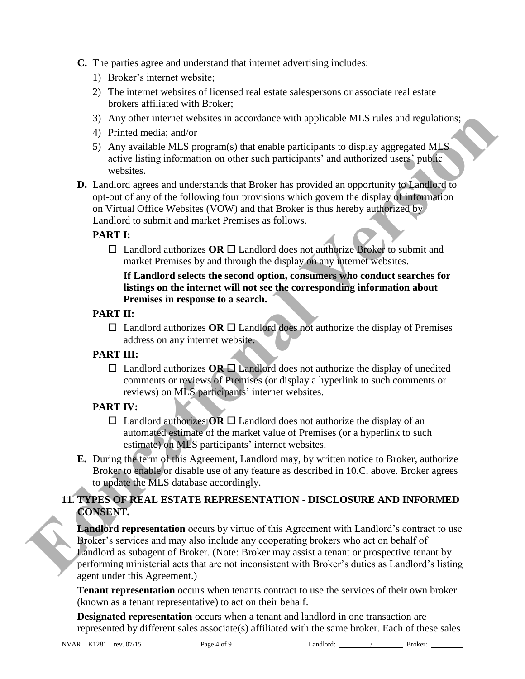- **C.** The parties agree and understand that internet advertising includes:
	- 1) Broker's internet website;
	- 2) The internet websites of licensed real estate salespersons or associate real estate brokers affiliated with Broker;
	- 3) Any other internet websites in accordance with applicable MLS rules and regulations;
	- 4) Printed media; and/or
	- 5) Any available MLS program(s) that enable participants to display aggregated MLS active listing information on other such participants' and authorized users' public websites.
- **D.** Landlord agrees and understands that Broker has provided an opportunity to Landlord to opt-out of any of the following four provisions which govern the display of information on Virtual Office Websites (VOW) and that Broker is thus hereby authorized by Landlord to submit and market Premises as follows.

#### **PART I:**

 $\Box$  Landlord authorizes OR  $\Box$  Landlord does not authorize Broker to submit and market Premises by and through the display on any internet websites.

#### **If Landlord selects the second option, consumers who conduct searches for listings on the internet will not see the corresponding information about Premises in response to a search.**

- **PART II:** 
	- $\Box$  Landlord authorizes **OR**  $\Box$  Landlord does not authorize the display of Premises address on any internet website.

# **PART III:**

 $\Box$  Landlord authorizes **OR**  $\Box$  Landlord does not authorize the display of unedited comments or reviews of Premises (or display a hyperlink to such comments or reviews) on MLS participants' internet websites.

#### **PART IV:**

- $\Box$  Landlord authorizes **OR**  $\Box$  Landlord does not authorize the display of an automated estimate of the market value of Premises (or a hyperlink to such estimate) on MLS participants' internet websites.
- **E.** During the term of this Agreement, Landlord may, by written notice to Broker, authorize Broker to enable or disable use of any feature as described in 10.C. above. Broker agrees to update the MLS database accordingly.

## **11. TYPES OF REAL ESTATE REPRESENTATION - DISCLOSURE AND INFORMED CONSENT.**

**Landlord representation** occurs by virtue of this Agreement with Landlord's contract to use Broker's services and may also include any cooperating brokers who act on behalf of Landlord as subagent of Broker. (Note: Broker may assist a tenant or prospective tenant by performing ministerial acts that are not inconsistent with Broker's duties as Landlord's listing agent under this Agreement.) **ED** Any other interest websites in accordance with applicable MLS rules and regulations:<br>
A) Printed media and or<br>
similar MLS program(s) that enable participants to display aggregated MLS<br>
and/or and the state is simil

> **Tenant representation** occurs when tenants contract to use the services of their own broker (known as a tenant representative) to act on their behalf.

> **Designated representation** occurs when a tenant and landlord in one transaction are represented by different sales associate(s) affiliated with the same broker. Each of these sales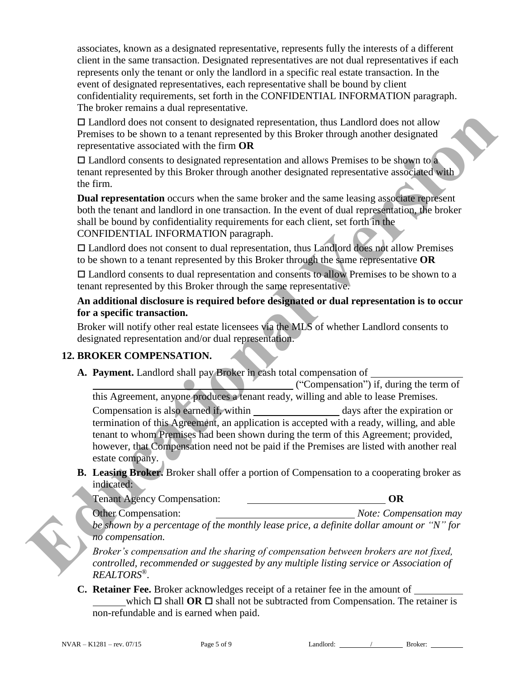associates, known as a designated representative, represents fully the interests of a different client in the same transaction. Designated representatives are not dual representatives if each represents only the tenant or only the landlord in a specific real estate transaction. In the event of designated representatives, each representative shall be bound by client confidentiality requirements, set forth in the CONFIDENTIAL INFORMATION paragraph. The broker remains a dual representative.

 Landlord does not consent to designated representation, thus Landlord does not allow Premises to be shown to a tenant represented by this Broker through another designated representative associated with the firm **OR**

 $\Box$  Landlord consents to designated representation and allows Premises to be shown to a tenant represented by this Broker through another designated representative associated with the firm.

**Dual representation** occurs when the same broker and the same leasing associate represent both the tenant and landlord in one transaction. In the event of dual representation, the broker shall be bound by confidentiality requirements for each client, set forth in the CONFIDENTIAL INFORMATION paragraph.

 Landlord does not consent to dual representation, thus Landlord does not allow Premises to be shown to a tenant represented by this Broker through the same representative **OR**

 Landlord consents to dual representation and consents to allow Premises to be shown to a tenant represented by this Broker through the same representative.

## **An additional disclosure is required before designated or dual representation is to occur for a specific transaction.**

Broker will notify other real estate licensees via the MLS of whether Landlord consents to designated representation and/or dual representation.

# **12. BROKER COMPENSATION.**

**A. Payment.** Landlord shall pay Broker in cash total compensation of

 ("Compensation") if, during the term of this Agreement, anyone produces a tenant ready, willing and able to lease Premises.

Compensation is also earned if, within days after the expiration or termination of this Agreement, an application is accepted with a ready, willing, and able tenant to whom Premises had been shown during the term of this Agreement; provided, however, that Compensation need not be paid if the Premises are listed with another real estate company. **ED** and other does not convent to designated representation, thus Landford does not allow Permission and the street in the street through another designated permission and allows Permission be designated permission and a

**B. Leasing Broker.** Broker shall offer a portion of Compensation to a cooperating broker as indicated:

Tenant Agency Compensation: **OR**

Other Compensation: *Note: Compensation may be shown by a percentage of the monthly lease price, a definite dollar amount or "N" for no compensation.* 

*Broker's compensation and the sharing of compensation between brokers are not fixed, controlled, recommended or suggested by any multiple listing service or Association of REALTORS®.*

**C. Retainer Fee.** Broker acknowledges receipt of a retainer fee in the amount of which  $\Box$  shall **OR**  $\Box$  shall not be subtracted from Compensation. The retainer is non-refundable and is earned when paid.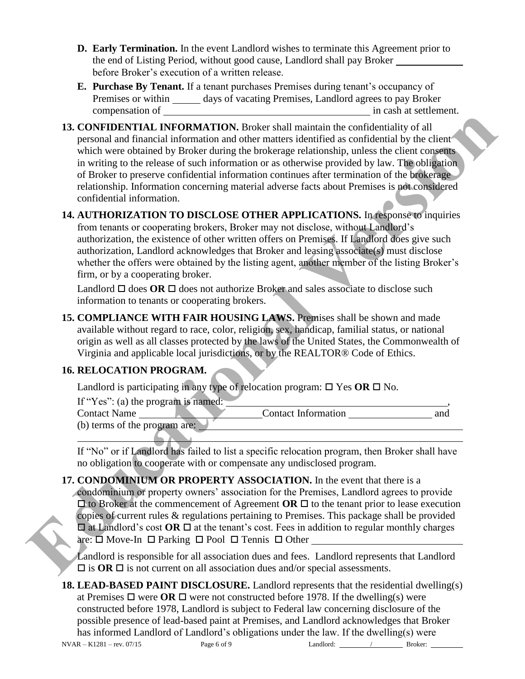- **D. Early Termination.** In the event Landlord wishes to terminate this Agreement prior to the end of Listing Period, without good cause, Landlord shall pay Broker before Broker's execution of a written release.
- **E. Purchase By Tenant.** If a tenant purchases Premises during tenant's occupancy of Premises or within \_\_\_\_\_\_ days of vacating Premises, Landlord agrees to pay Broker compensation of in cash at settlement.
- **13. CONFIDENTIAL INFORMATION.** Broker shall maintain the confidentiality of all personal and financial information and other matters identified as confidential by the client which were obtained by Broker during the brokerage relationship, unless the client consents in writing to the release of such information or as otherwise provided by law. The obligation of Broker to preserve confidential information continues after termination of the brokerage relationship. Information concerning material adverse facts about Premises is not considered confidential information. **EXECUTE AND MANUATION**. Brocker shall manuain the confidentially of all pesonal and financial information and obter matters deterited as confidentially yie clear<br>which were obtained by Broker doing the brokerage relations
	- **14. AUTHORIZATION TO DISCLOSE OTHER APPLICATIONS.** In response to inquiries from tenants or cooperating brokers, Broker may not disclose, without Landlord's authorization, the existence of other written offers on Premises. If Landlord does give such authorization, Landlord acknowledges that Broker and leasing associate(s) must disclose whether the offers were obtained by the listing agent, another member of the listing Broker's firm, or by a cooperating broker.

Landlord  $\Box$  does **OR**  $\Box$  does not authorize Broker and sales associate to disclose such information to tenants or cooperating brokers.

**15. COMPLIANCE WITH FAIR HOUSING LAWS.** Premises shall be shown and made available without regard to race, color, religion, sex, handicap, familial status, or national origin as well as all classes protected by the laws of the United States, the Commonwealth of Virginia and applicable local jurisdictions, or by the REALTOR® Code of Ethics.

# **16. RELOCATION PROGRAM.**

Landlord is participating in any type of relocation program:  $\Box$  Yes **OR**  $\Box$  No.

If "Yes": (a) the program is named: Contact Name Contact Information and (b) terms of the program are:  $\overline{a}$ 

If "No" or if Landlord has failed to list a specific relocation program, then Broker shall have no obligation to cooperate with or compensate any undisclosed program.

**17. CONDOMINIUM OR PROPERTY ASSOCIATION.** In the event that there is a condominium or property owners' association for the Premises, Landlord agrees to provide  $\Box$  to Broker at the commencement of Agreement **OR**  $\Box$  to the tenant prior to lease execution copies of current rules & regulations pertaining to Premises. This package shall be provided  $\Box$  at Landlord's cost **OR**  $\Box$  at the tenant's cost. Fees in addition to regular monthly charges are:  $\square$  Move-In  $\square$  Parking  $\square$  Pool  $\square$  Tennis  $\square$  Other

Landlord is responsible for all association dues and fees. Landlord represents that Landlord  $\Box$  is **OR**  $\Box$  is not current on all association dues and/or special assessments.

 $NVAR - K1281 - rev. 07/15$  Page 6 of 9 Landlord:  $\frac{\ }{\ }$  Broker: **18. LEAD-BASED PAINT DISCLOSURE.** Landlord represents that the residential dwelling(s) at Premises  $\Box$  were **OR**  $\Box$  were not constructed before 1978. If the dwelling(s) were constructed before 1978, Landlord is subject to Federal law concerning disclosure of the possible presence of lead-based paint at Premises, and Landlord acknowledges that Broker has informed Landlord of Landlord's obligations under the law. If the dwelling(s) were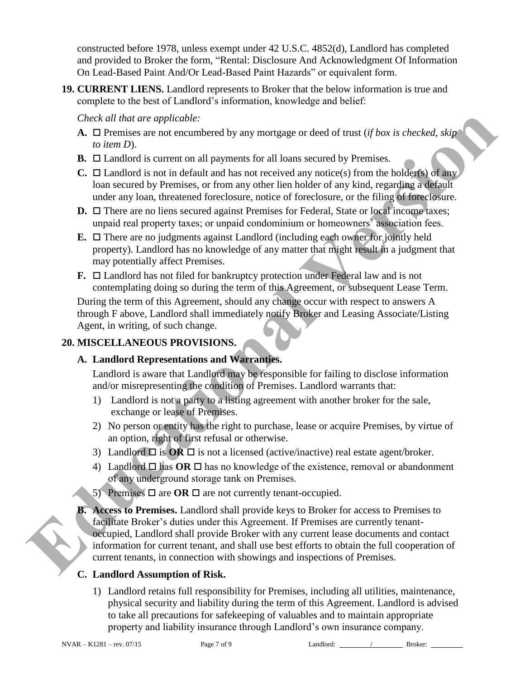constructed before 1978, unless exempt under 42 U.S.C. 4852(d), Landlord has completed and provided to Broker the form, "Rental: Disclosure And Acknowledgment Of Information On Lead-Based Paint And/Or Lead-Based Paint Hazards" or equivalent form.

**19. CURRENT LIENS.** Landlord represents to Broker that the below information is true and complete to the best of Landlord's information, knowledge and belief:

*Check all that are applicable:* 

- **A.**  $\Box$  Premises are not encumbered by any mortgage or deed of trust (*if box is checked, skip to item D*).
- **B.**  $\Box$  Landlord is current on all payments for all loans secured by Premises.
- **C.**  $\Box$  Landlord is not in default and has not received any notice(s) from the holder(s) of any loan secured by Premises, or from any other lien holder of any kind, regarding a default under any loan, threatened foreclosure, notice of foreclosure, or the filing of foreclosure.
- **D.** □ There are no liens secured against Premises for Federal, State or local income taxes; unpaid real property taxes; or unpaid condominium or homeowners' association fees.
- **E.**  $\Box$  There are no judgments against Landlord (including each owner for jointly held property). Landlord has no knowledge of any matter that might result in a judgment that may potentially affect Premises.
- **F.**  $\Box$  Landlord has not filed for bankruptcy protection under Federal law and is not contemplating doing so during the term of this Agreement, or subsequent Lease Term.

During the term of this Agreement, should any change occur with respect to answers A through F above, Landlord shall immediately notify Broker and Leasing Associate/Listing Agent, in writing, of such change.

### **20. MISCELLANEOUS PROVISIONS.**

# **A. Landlord Representations and Warranties.**

Landlord is aware that Landlord may be responsible for failing to disclose information and/or misrepresenting the condition of Premises. Landlord warrants that:

- 1) Landlord is not a party to a listing agreement with another broker for the sale, exchange or lease of Premises.
- 2) No person or entity has the right to purchase, lease or acquire Premises, by virtue of an option, right of first refusal or otherwise.
- 3) Landlord  $\Box$  is  $\overline{OR} \Box$  is not a licensed (active/inactive) real estate agent/broker.
- 4) Landlord  $\Box$  has **OR**  $\Box$  has no knowledge of the existence, removal or abandonment of any underground storage tank on Premises.
- 5) Premises  $\Box$  are **OR**  $\Box$  are not currently tenant-occupied.
- **B. Access to Premises.** Landlord shall provide keys to Broker for access to Premises to facilitate Broker's duties under this Agreement. If Premises are currently tenantoccupied, Landlord shall provide Broker with any current lease documents and contact information for current tenant, and shall use best efforts to obtain the full cooperation of current tenants, in connection with showings and inspections of Premises. Check all that are applicable to applicable to the state and the matter and the model in the state of the state of the state of the state of the state of the state of the state of the state of the state of the state of the

# **C. Landlord Assumption of Risk.**

1) Landlord retains full responsibility for Premises, including all utilities, maintenance, physical security and liability during the term of this Agreement. Landlord is advised to take all precautions for safekeeping of valuables and to maintain appropriate property and liability insurance through Landlord's own insurance company.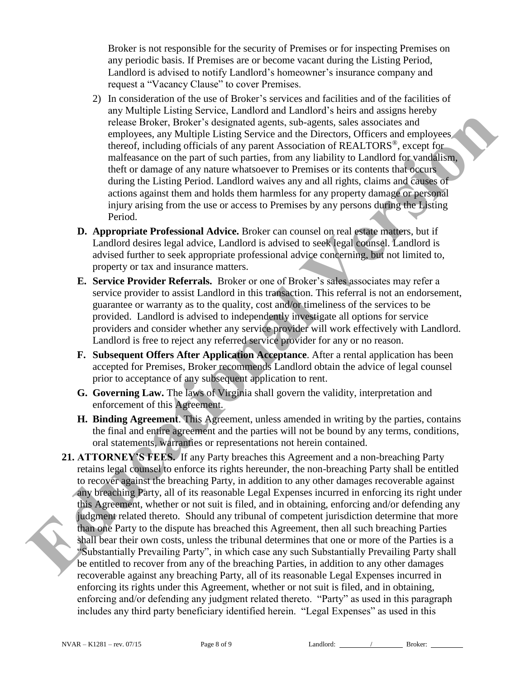Broker is not responsible for the security of Premises or for inspecting Premises on any periodic basis. If Premises are or become vacant during the Listing Period, Landlord is advised to notify Landlord's homeowner's insurance company and request a "Vacancy Clause" to cover Premises.

- 2) In consideration of the use of Broker's services and facilities and of the facilities of any Multiple Listing Service, Landlord and Landlord's heirs and assigns hereby release Broker, Broker's designated agents, sub-agents, sales associates and employees, any Multiple Listing Service and the Directors, Officers and employees thereof, including officials of any parent Association of REALTORS®, except for malfeasance on the part of such parties, from any liability to Landlord for vandalism, theft or damage of any nature whatsoever to Premises or its contents that occurs during the Listing Period. Landlord waives any and all rights, claims and causes of actions against them and holds them harmless for any property damage or personal injury arising from the use or access to Premises by any persons during the Listing Period.
- **D. Appropriate Professional Advice.** Broker can counsel on real estate matters, but if Landlord desires legal advice, Landlord is advised to seek legal counsel. Landlord is advised further to seek appropriate professional advice concerning, but not limited to, property or tax and insurance matters.
- **E. Service Provider Referrals.** Broker or one of Broker's sales associates may refer a service provider to assist Landlord in this transaction. This referral is not an endorsement, guarantee or warranty as to the quality, cost and/or timeliness of the services to be provided. Landlord is advised to independently investigate all options for service providers and consider whether any service provider will work effectively with Landlord. Landlord is free to reject any referred service provider for any or no reason.
- **F. Subsequent Offers After Application Acceptance**. After a rental application has been accepted for Premises, Broker recommends Landlord obtain the advice of legal counsel prior to acceptance of any subsequent application to rent.
- **G. Governing Law.** The laws of Virginia shall govern the validity, interpretation and enforcement of this Agreement.
- **H. Binding Agreement**. This Agreement, unless amended in writing by the parties, contains the final and entire agreement and the parties will not be bound by any terms, conditions, oral statements, warranties or representations not herein contained.
- **21. ATTORNEY'S FEES.** If any Party breaches this Agreement and a non-breaching Party retains legal counsel to enforce its rights hereunder, the non-breaching Party shall be entitled to recover against the breaching Party, in addition to any other damages recoverable against any breaching Party, all of its reasonable Legal Expenses incurred in enforcing its right under this Agreement, whether or not suit is filed, and in obtaining, enforcing and/or defending any judgment related thereto. Should any tribunal of competent jurisdiction determine that more than one Party to the dispute has breached this Agreement, then all such breaching Parties shall bear their own costs, unless the tribunal determines that one or more of the Parties is a "Substantially Prevailing Party", in which case any such Substantially Prevailing Party shall be entitled to recover from any of the breaching Parties, in addition to any other damages recoverable against any breaching Party, all of its reasonable Legal Expenses incurred in enforcing its rights under this Agreement, whether or not suit is filed, and in obtaining, enforcing and/or defending any judgment related thereto. "Party" as used in this paragraph includes any third party beneficiary identified herein. "Legal Expenses" as used in this release Robber, Bruker's sheripstatic applications between sailes users and appliquently sample employees, any Multiple Listing Service and lb Directory. Officers and employees the<br>entropy increase the media of any partner